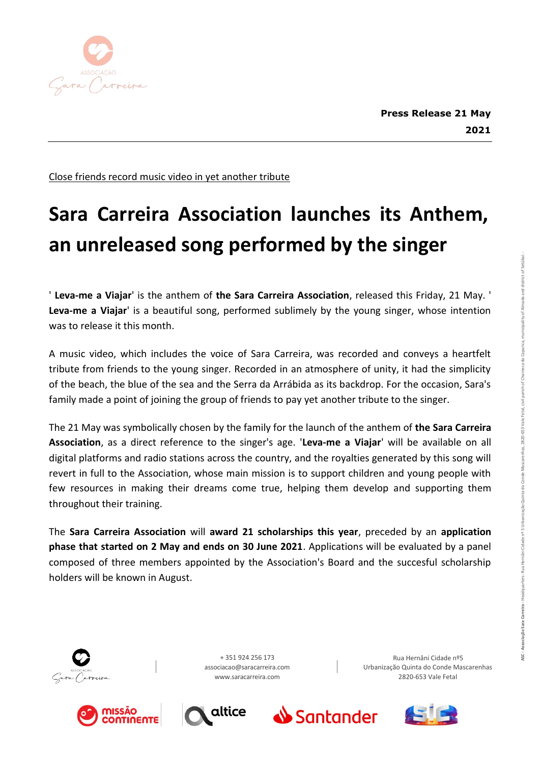

Close friends record music video in yet another tribute

## **Sara Carreira Association launches its Anthem, an unreleased song performed by the singer**

' **Leva-me a Viajar**' is the anthem of **the Sara Carreira Association**, released this Friday, 21 May. ' **Leva-me a Viajar**' is a beautiful song, performed sublimely by the young singer, whose intention was to release it this month.

A music video, which includes the voice of Sara Carreira, was recorded and conveys a heartfelt tribute from friends to the young singer. Recorded in an atmosphere of unity, it had the simplicity of the beach, the blue of the sea and the Serra da Arrábida as its backdrop. For the occasion, Sara's family made a point of joining the group of friends to pay yet another tribute to the singer.

The 21 May was symbolically chosen by the family for the launch of the anthem of **the Sara Carreira Association**, as a direct reference to the singer's age. '**Leva-me a Viajar**' will be available on all digital platforms and radio stations across the country, and the royalties generated by this song will revert in full to the Association, whose main mission is to support children and young people with few resources in making their dreams come true, helping them develop and supporting them throughout their training.

The **Sara Carreira Association** will **award 21 scholarships this year**, preceded by an **application phase that started on 2 May and ends on 30 June 2021**. Applications will be evaluated by a panel composed of three members appointed by the Association's Board and the succesful scholarship holders will be known in August.













Rua Hernâni Cidade nº5 Urbanização Quinta do Conde Mascarenhas 2820-653 Vale Fetal